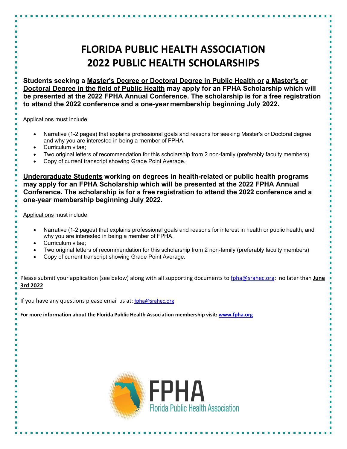## **FLORIDA PUBLIC HEALTH ASSOCIATION 2022 PUBLIC HEALTH SCHOLARSHIPS**

**Students seeking a Master's Degree or Doctoral Degree in Public Health or a Master's or Doctoral Degree in the field of Public Health may apply for an FPHA Scholarship which will be presented at the 2022 FPHA Annual Conference. The scholarship is for a free registration to attend the 2022 conference and a one-year membership beginning July 2022.** 

Applications must include:

- Narrative (1-2 pages) that explains professional goals and reasons for seeking Master's or Doctoral degree and why you are interested in being a member of FPHA.
- Curriculum vitae;
- Two original letters of recommendation for this scholarship from 2 non-family (preferably faculty members)
- Copy of current transcript showing Grade Point Average.

**Undergraduate Students working on degrees in health-related or public health programs may apply for an FPHA Scholarship which will be presented at the 2022 FPHA Annual Conference. The scholarship is for a free registration to attend the 2022 conference and a one-year membership beginning July 2022.**

Applications must include:

- Narrative (1-2 pages) that explains professional goals and reasons for interest in health or public health; and why you are interested in being a member of FPHA.
- Curriculum vitae;
- Two original letters of recommendation for this scholarship from 2 non-family (preferably faculty members)
- Copy of current transcript showing Grade Point Average.

Please submit your application (see below) along with all supporting documents to fpha@srahec.org: no later than **June 3rd 2022**

If you have any questions please email us at: [fpha@srahec.org](mailto:fpha@srahec.org)

**For more information about the Florida Public Health Association membership visit: www.fpha.org**